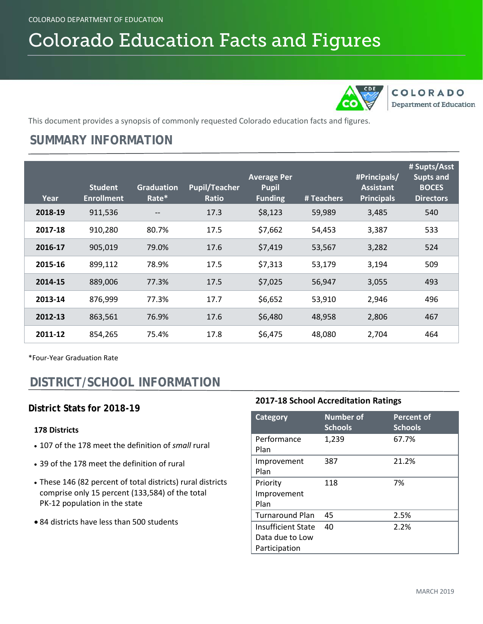# Colorado Education Facts and Figures



COLORADO **Department of Education** 

This document provides a synopsis of commonly requested Colorado education facts and figures.

# **SUMMARY INFORMATION**

| Year    | <b>Student</b><br><b>Enrollment</b> | <b>Graduation</b><br>Rate* | <b>Pupil/Teacher</b><br><b>Ratio</b> | <b>Average Per</b><br><b>Pupil</b><br><b>Funding</b> | # Teachers | #Principals/<br><b>Assistant</b><br><b>Principals</b> | # Supts/Asst<br><b>Supts and</b><br><b>BOCES</b><br><b>Directors</b> |
|---------|-------------------------------------|----------------------------|--------------------------------------|------------------------------------------------------|------------|-------------------------------------------------------|----------------------------------------------------------------------|
| 2018-19 | 911,536                             | $\qquad \qquad -$          | 17.3                                 | \$8,123                                              | 59,989     | 3,485                                                 | 540                                                                  |
| 2017-18 | 910,280                             | 80.7%                      | 17.5                                 | \$7,662                                              | 54,453     | 3,387                                                 | 533                                                                  |
| 2016-17 | 905,019                             | 79.0%                      | 17.6                                 | \$7,419                                              | 53,567     | 3,282                                                 | 524                                                                  |
| 2015-16 | 899,112                             | 78.9%                      | 17.5                                 | \$7,313                                              | 53,179     | 3,194                                                 | 509                                                                  |
| 2014-15 | 889,006                             | 77.3%                      | 17.5                                 | \$7,025                                              | 56,947     | 3,055                                                 | 493                                                                  |
| 2013-14 | 876,999                             | 77.3%                      | 17.7                                 | \$6,652                                              | 53,910     | 2,946                                                 | 496                                                                  |
| 2012-13 | 863,561                             | 76.9%                      | 17.6                                 | \$6,480                                              | 48,958     | 2,806                                                 | 467                                                                  |
| 2011-12 | 854,265                             | 75.4%                      | 17.8                                 | \$6,475                                              | 48,080     | 2,704                                                 | 464                                                                  |

\*Four-Year Graduation Rate

# **DISTRICT/SCHOOL INFORMATION**

### **District Stats for 2018-19**

#### **178 Districts**

- 107 of the 178 meet the definition of *small* rural
- 39 of the 178 meet the definition of rural
- These 146 (82 percent of total districts) rural districts comprise only 15 percent (133,584) of the total PK-12 population in the state
- 84 districts have less than 500 students

#### **2017-18 School Accreditation Ratings**

| <b>Category</b>        | <b>Number of</b><br><b>Schools</b> | <b>Percent of</b><br><b>Schools</b> |
|------------------------|------------------------------------|-------------------------------------|
| Performance            | 1,239                              | 67.7%                               |
| Plan                   |                                    |                                     |
| Improvement            | 387                                | 21.2%                               |
| Plan                   |                                    |                                     |
| Priority               | 118                                | 7%                                  |
| Improvement            |                                    |                                     |
| Plan                   |                                    |                                     |
| <b>Turnaround Plan</b> | 45                                 | 2.5%                                |
| Insufficient State     | 40                                 | 2.2%                                |
| Data due to Low        |                                    |                                     |
| Participation          |                                    |                                     |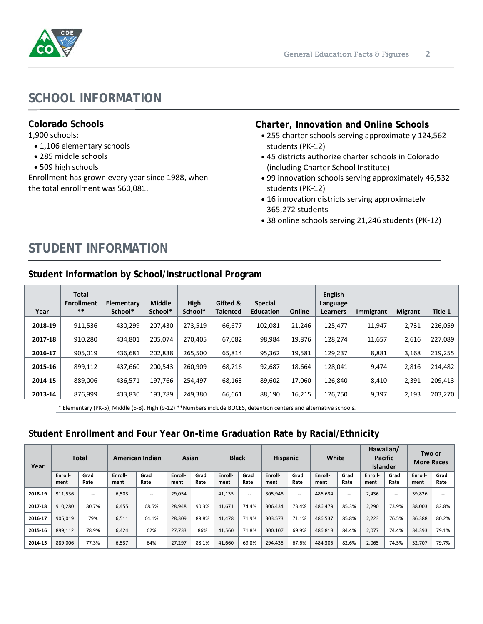

## **SCHOOL INFORMATION**

#### **Colorado Schools**

1,900 schools:

- 1,106 elementary schools
- 285 middle schools
- 509 high schools

Enrollment has grown every year since 1988, when the total enrollment was 560,081.

#### **Charter, Innovation and Online Schools**

- 255 charter schools serving approximately 124,562 students (PK-12)
- 45 districts authorize charter schools in Colorado (including Charter School Institute)
- 99 innovation schools serving approximately 46,532 students (PK-12)
- 16 innovation districts serving approximately 365,272 students
- 38 online schools serving 21,246 students (PK-12)

# **STUDENT INFORMATION**

| Year    | <b>Total</b><br><b>Enrollment</b><br>$***$ | Elementary<br>School* | <b>Middle</b><br>School* | High<br>School* | Gifted &<br><b>Talented</b> | <b>Special</b><br><b>Education</b> | Online | <b>English</b><br>Language<br>Learners | Immigrant | <b>Migrant</b> | Title 1 |
|---------|--------------------------------------------|-----------------------|--------------------------|-----------------|-----------------------------|------------------------------------|--------|----------------------------------------|-----------|----------------|---------|
| 2018-19 | 911,536                                    | 430,299               | 207,430                  | 273,519         | 66,677                      | 102,081                            | 21,246 | 125,477                                | 11,947    | 2,731          | 226,059 |
| 2017-18 | 910,280                                    | 434,801               | 205,074                  | 270,405         | 67,082                      | 98,984                             | 19,876 | 128,274                                | 11,657    | 2,616          | 227,089 |
| 2016-17 | 905,019                                    | 436,681               | 202,838                  | 265,500         | 65,814                      | 95,362                             | 19,581 | 129,237                                | 8,881     | 3,168          | 219,255 |
| 2015-16 | 899,112                                    | 437,660               | 200,543                  | 260,909         | 68,716                      | 92,687                             | 18,664 | 128,041                                | 9,474     | 2,816          | 214,482 |
| 2014-15 | 889.006                                    | 436,571               | 197.766                  | 254.497         | 68,163                      | 89.602                             | 17.060 | 126,840                                | 8,410     | 2,391          | 209,413 |
| 2013-14 | 876,999                                    | 433,830               | 193,789                  | 249,380         | 66,661                      | 88,190                             | 16,215 | 126,750                                | 9,397     | 2,193          | 203,270 |

### **Student Information by School/Instructional Program**

\* Elementary (PK-5), Middle (6-8), High (9-12) \*\*Numbers include BOCES, detention centers and alternative schools.

#### **Student Enrollment and Four Year On-time Graduation Rate by Racial/Ethnicity**

| <b>Total</b><br>Year |                 |              | American Indian |              | Asian           |              | <b>Black</b>    |                          | <b>Hispanic</b> |              | White           |                     | Hawaiian/<br><b>Pacific</b><br><b>Islander</b> |              | Two or<br><b>More Races</b> |              |
|----------------------|-----------------|--------------|-----------------|--------------|-----------------|--------------|-----------------|--------------------------|-----------------|--------------|-----------------|---------------------|------------------------------------------------|--------------|-----------------------------|--------------|
|                      | Enroll-<br>ment | Grad<br>Rate | Enroll-<br>ment | Grad<br>Rate | Enroll-<br>ment | Grad<br>Rate | Enroll-<br>ment | Grad<br>Rate             | Enroll-<br>ment | Grad<br>Rate | Enroll-<br>ment | Grad<br>Rate        | Enroll-<br>ment                                | Grad<br>Rate | Enroll-<br>ment             | Grad<br>Rate |
| 2018-19              | 911,536         | $- -$        | 6,503           | $- -$        | 29.054          |              | 41.135          | $\hspace{0.05cm} \ldots$ | 305.948         | $-$          | 486.634         | $\hspace{0.05cm} -$ | 2,436                                          | --           | 39,826                      | $ -$         |
| 2017-18              | 910.280         | 80.7%        | 6.455           | 68.5%        | 28,948          | 90.3%        | 41.671          | 74.4%                    | 306.434         | 73.4%        | 486.479         | 85.3%               | 2.290                                          | 73.9%        | 38.003                      | 82.8%        |
| 2016-17              | 905,019         | 79%          | 6,511           | 64.1%        | 28,309          | 89.8%        | 41,478          | 71.9%                    | 303.573         | 71.1%        | 486,537         | 85.8%               | 2,223                                          | 76.5%        | 36,388                      | 80.2%        |
| 2015-16              | 899,112         | 78.9%        | 6,424           | 62%          | 27,733          | 86%          | 41,560          | 71.8%                    | 300.107         | 69.9%        | 486.818         | 84.4%               | 2,077                                          | 74.4%        | 34,393                      | 79.1%        |
| 2014-15              | 889,006         | 77.3%        | 6,537           | 64%          | 27,297          | 88.1%        | 41,660          | 69.8%                    | 294,435         | 67.6%        | 484.305         | 82.6%               | 2,065                                          | 74.5%        | 32,707                      | 79.7%        |